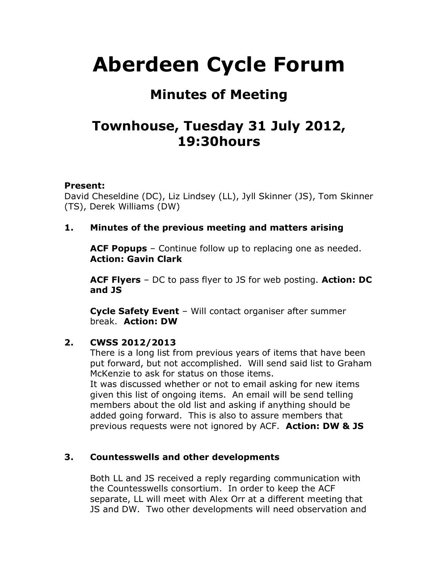# **Aberdeen Cycle Forum**

## **Minutes of Meeting**

## **Townhouse, Tuesday 31 July 2012, 19:30hours**

#### **Present:**

David Cheseldine (DC), Liz Lindsey (LL), Jyll Skinner (JS), Tom Skinner (TS), Derek Williams (DW)

#### **1. Minutes of the previous meeting and matters arising**

**ACF Popups** – Continue follow up to replacing one as needed. **Action: Gavin Clark**

**ACF Flyers** – DC to pass flyer to JS for web posting. **Action: DC and JS**

**Cycle Safety Event** – Will contact organiser after summer break. **Action: DW**

#### **2. CWSS 2012/2013**

There is a long list from previous years of items that have been put forward, but not accomplished. Will send said list to Graham McKenzie to ask for status on those items.

It was discussed whether or not to email asking for new items given this list of ongoing items. An email will be send telling members about the old list and asking if anything should be added going forward. This is also to assure members that previous requests were not ignored by ACF. **Action: DW & JS**

#### **3. Countesswells and other developments**

Both LL and JS received a reply regarding communication with the Countesswells consortium. In order to keep the ACF separate, LL will meet with Alex Orr at a different meeting that JS and DW. Two other developments will need observation and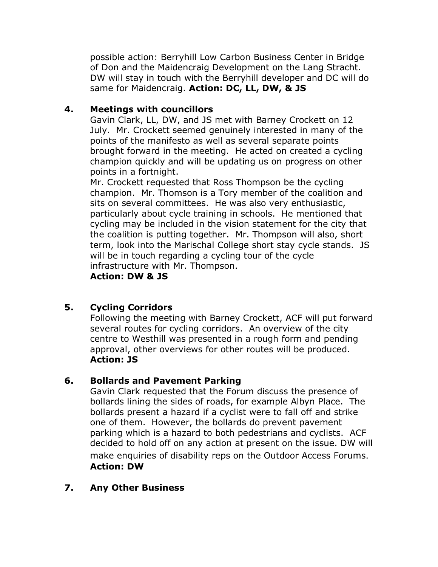possible action: Berryhill Low Carbon Business Center in Bridge of Don and the Maidencraig Development on the Lang Stracht. DW will stay in touch with the Berryhill developer and DC will do same for Maidencraig. **Action: DC, LL, DW, & JS**

#### **4. Meetings with councillors**

Gavin Clark, LL, DW, and JS met with Barney Crockett on 12 July. Mr. Crockett seemed genuinely interested in many of the points of the manifesto as well as several separate points brought forward in the meeting. He acted on created a cycling champion quickly and will be updating us on progress on other points in a fortnight.

Mr. Crockett requested that Ross Thompson be the cycling champion. Mr. Thomson is a Tory member of the coalition and sits on several committees. He was also very enthusiastic, particularly about cycle training in schools. He mentioned that cycling may be included in the vision statement for the city that the coalition is putting together. Mr. Thompson will also, short term, look into the Marischal College short stay cycle stands. JS will be in touch regarding a cycling tour of the cycle infrastructure with Mr. Thompson.

**Action: DW & JS**

#### **5. Cycling Corridors**

Following the meeting with Barney Crockett, ACF will put forward several routes for cycling corridors. An overview of the city centre to Westhill was presented in a rough form and pending approval, other overviews for other routes will be produced. **Action: JS**

#### **6. Bollards and Pavement Parking**

Gavin Clark requested that the Forum discuss the presence of bollards lining the sides of roads, for example Albyn Place. The bollards present a hazard if a cyclist were to fall off and strike one of them. However, the bollards do prevent pavement parking which is a hazard to both pedestrians and cyclists. ACF decided to hold off on any action at present on the issue. DW will make enquiries of disability reps on the Outdoor Access Forums. **Action: DW**

#### **7. Any Other Business**